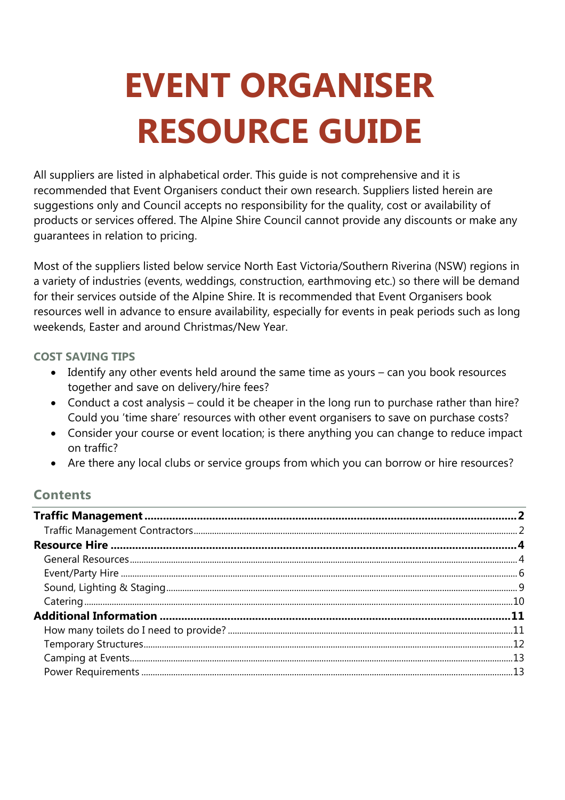# **EVENT ORGANISER RESOURCE GUIDE**

All suppliers are listed in alphabetical order. This guide is not comprehensive and it is recommended that Event Organisers conduct their own research. Suppliers listed herein are suggestions only and Council accepts no responsibility for the quality, cost or availability of products or services offered. The Alpine Shire Council cannot provide any discounts or make any guarantees in relation to pricing.

Most of the suppliers listed below service North East Victoria/Southern Riverina (NSW) regions in a variety of industries (events, weddings, construction, earthmoving etc.) so there will be demand for their services outside of the Alpine Shire. It is recommended that Event Organisers book resources well in advance to ensure availability, especially for events in peak periods such as long weekends, Easter and around Christmas/New Year.

#### **COST SAVING TIPS**

- Identify any other events held around the same time as yours can you book resources together and save on delivery/hire fees?
- Conduct a cost analysis could it be cheaper in the long run to purchase rather than hire? Could you 'time share' resources with other event organisers to save on purchase costs?
- Consider your course or event location; is there anything you can change to reduce impact on traffic?
- Are there any local clubs or service groups from which you can borrow or hire resources?

#### **Contents**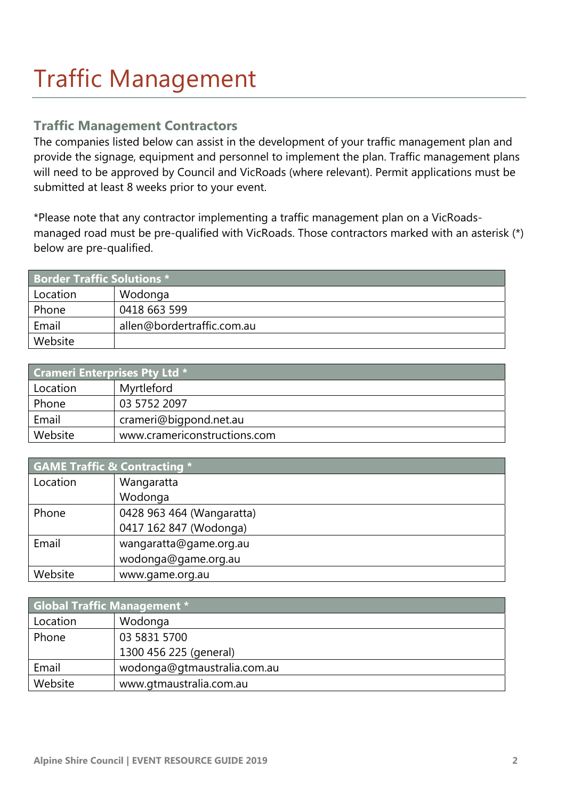### Traffic Management

#### **Traffic Management Contractors**

The companies listed below can assist in the development of your traffic management plan and provide the signage, equipment and personnel to implement the plan. Traffic management plans will need to be approved by Council and VicRoads (where relevant). Permit applications must be submitted at least 8 weeks prior to your event.

\*Please note that any contractor implementing a traffic management plan on a VicRoadsmanaged road must be pre-qualified with VicRoads. Those contractors marked with an asterisk (\*) below are pre-qualified.

| <b>Border Traffic Solutions *1</b> |                            |  |
|------------------------------------|----------------------------|--|
| Location                           | Wodonga                    |  |
| Phone                              | 0418 663 599               |  |
| Email                              | allen@bordertraffic.com.au |  |
| Website                            |                            |  |

| <b>Crameri Enterprises Pty Ltd *</b> |                              |  |
|--------------------------------------|------------------------------|--|
| Location                             | Myrtleford                   |  |
| Phone                                | 03 5752 2097                 |  |
| Email                                | crameri@bigpond.net.au       |  |
| Website                              | www.cramericonstructions.com |  |

| <b>GAME Traffic &amp; Contracting *</b> |                           |  |
|-----------------------------------------|---------------------------|--|
| Location                                | Wangaratta                |  |
|                                         | Wodonga                   |  |
| Phone                                   | 0428 963 464 (Wangaratta) |  |
|                                         | 0417 162 847 (Wodonga)    |  |
| Email                                   | wangaratta@game.org.au    |  |
|                                         | wodonga@game.org.au       |  |
| Website                                 | www.game.org.au           |  |

| <b>Global Traffic Management *</b> |                             |  |
|------------------------------------|-----------------------------|--|
| Location                           | Wodonga                     |  |
| Phone                              | 03 5831 5700                |  |
|                                    | 1300 456 225 (general)      |  |
| Email                              | wodonga@gtmaustralia.com.au |  |
| Website                            | www.gtmaustralia.com.au     |  |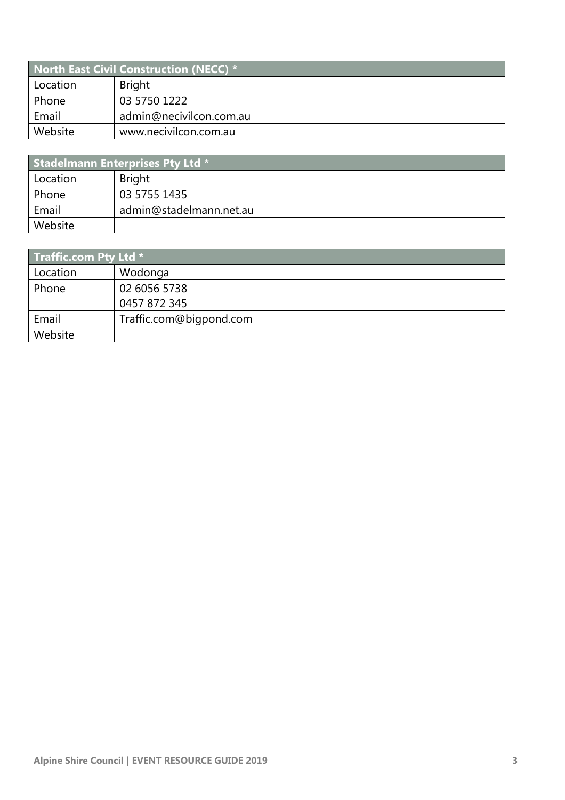| <b>North East Civil Construction (NECC) *</b> |                         |  |
|-----------------------------------------------|-------------------------|--|
| Location                                      | <b>Bright</b>           |  |
| Phone                                         | 03 5750 1222            |  |
| Email                                         | admin@necivilcon.com.au |  |
| Website                                       | www.necivilcon.com.au   |  |

| <b>Stadelmann Enterprises Pty Ltd *</b> |                         |  |
|-----------------------------------------|-------------------------|--|
| Location                                | <b>Bright</b>           |  |
| Phone                                   | 03 5755 1435            |  |
| Email                                   | admin@stadelmann.net.au |  |
| Website                                 |                         |  |

| <b>Traffic.com Pty Ltd</b> $*$ |                         |  |
|--------------------------------|-------------------------|--|
| Location                       | Wodonga                 |  |
| Phone                          | 02 6056 5738            |  |
|                                | 0457 872 345            |  |
| Email                          | Traffic.com@bigpond.com |  |
| Website                        |                         |  |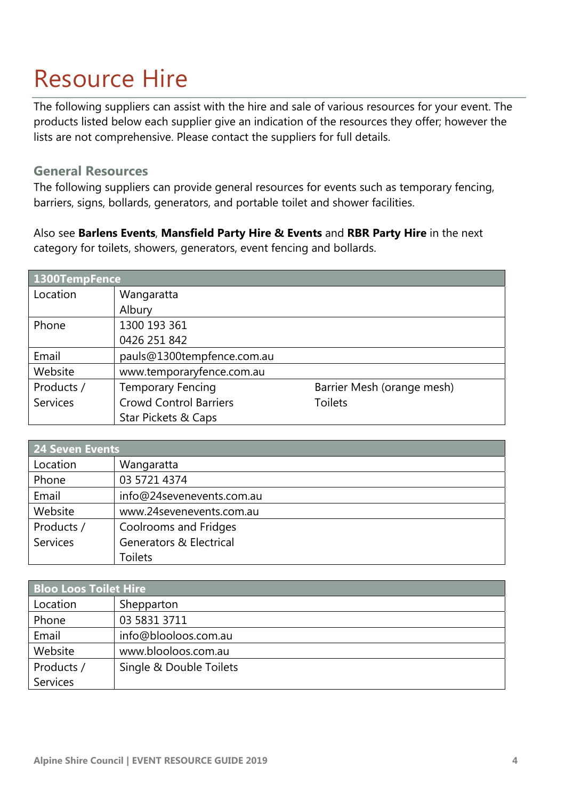### Resource Hire

The following suppliers can assist with the hire and sale of various resources for your event. The products listed below each supplier give an indication of the resources they offer; however the lists are not comprehensive. Please contact the suppliers for full details.

#### **General Resources**

The following suppliers can provide general resources for events such as temporary fencing, barriers, signs, bollards, generators, and portable toilet and shower facilities.

Also see **Barlens Events**, **Mansfield Party Hire & Events** and **RBR Party Hire** in the next category for toilets, showers, generators, event fencing and bollards.

| 1300TempFence   |                                |                            |
|-----------------|--------------------------------|----------------------------|
| Location        | Wangaratta                     |                            |
|                 | Albury                         |                            |
| Phone           | 1300 193 361                   |                            |
|                 | 0426 251 842                   |                            |
| Email           | pauls@1300tempfence.com.au     |                            |
| Website         | www.temporaryfence.com.au      |                            |
| Products /      | <b>Temporary Fencing</b>       | Barrier Mesh (orange mesh) |
| <b>Services</b> | <b>Crowd Control Barriers</b>  | <b>Toilets</b>             |
|                 | <b>Star Pickets &amp; Caps</b> |                            |

| 24 Seven Events |                                    |  |
|-----------------|------------------------------------|--|
| Location        | Wangaratta                         |  |
| Phone           | 03 5721 4374                       |  |
| Email           | info@24sevenevents.com.au          |  |
| Website         | www.24sevenevents.com.au           |  |
| Products /      | Coolrooms and Fridges              |  |
| <b>Services</b> | <b>Generators &amp; Electrical</b> |  |
|                 | <b>Toilets</b>                     |  |

| <b>Bloo Loos Toilet Hire</b> |                         |  |
|------------------------------|-------------------------|--|
| Location                     | Shepparton              |  |
| Phone                        | 03 5831 3711            |  |
| Email                        | info@blooloos.com.au    |  |
| Website                      | www.blooloos.com.au     |  |
| Products /                   | Single & Double Toilets |  |
| <b>Services</b>              |                         |  |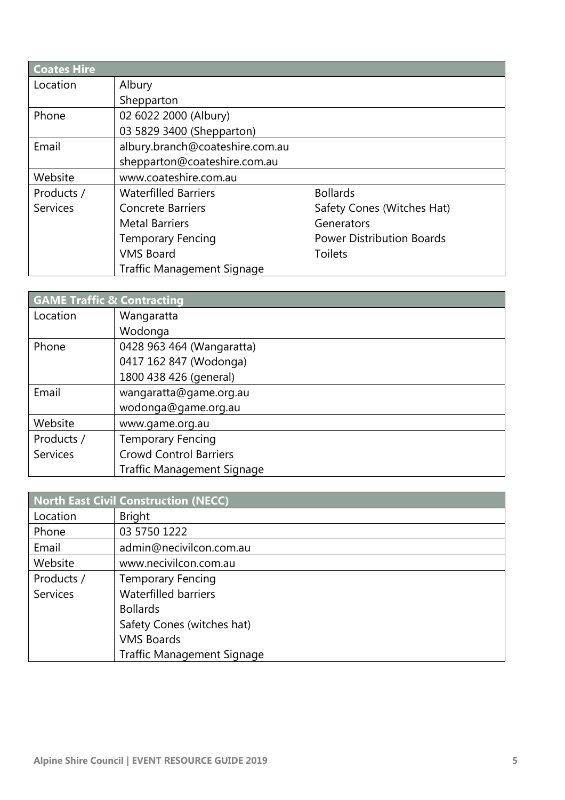| <b>Coates Hire</b> |                                   |                                  |
|--------------------|-----------------------------------|----------------------------------|
| Location           | Albury                            |                                  |
|                    | Shepparton                        |                                  |
| Phone              | 02 6022 2000 (Albury)             |                                  |
|                    | 03 5829 3400 (Shepparton)         |                                  |
| Email              | albury.branch@coateshire.com.au   |                                  |
|                    | shepparton@coateshire.com.au      |                                  |
| Website            | www.coateshire.com.au             |                                  |
| Products /         | <b>Waterfilled Barriers</b>       | <b>Bollards</b>                  |
| <b>Services</b>    | <b>Concrete Barriers</b>          | Safety Cones (Witches Hat)       |
|                    | <b>Metal Barriers</b>             | Generators                       |
|                    | <b>Temporary Fencing</b>          | <b>Power Distribution Boards</b> |
|                    | <b>VMS Board</b>                  | <b>Toilets</b>                   |
|                    | <b>Traffic Management Signage</b> |                                  |

| <b>GAME Traffic &amp; Contracting</b> |                                   |  |
|---------------------------------------|-----------------------------------|--|
| Location                              | Wangaratta                        |  |
|                                       | Wodonga                           |  |
| Phone                                 | 0428 963 464 (Wangaratta)         |  |
|                                       | 0417 162 847 (Wodonga)            |  |
|                                       | 1800 438 426 (general)            |  |
| Email                                 | wangaratta@game.org.au            |  |
|                                       | wodonga@game.org.au               |  |
| Website                               | www.game.org.au                   |  |
| Products /                            | <b>Temporary Fencing</b>          |  |
| <b>Services</b>                       | <b>Crowd Control Barriers</b>     |  |
|                                       | <b>Traffic Management Signage</b> |  |

| North East Civil Construction (NECC) |                                   |  |
|--------------------------------------|-----------------------------------|--|
| Location                             | <b>Bright</b>                     |  |
| Phone                                | 03 5750 1222                      |  |
| Email                                | admin@necivilcon.com.au           |  |
| Website                              | www.necivilcon.com.au             |  |
| Products /                           | <b>Temporary Fencing</b>          |  |
| <b>Services</b>                      | <b>Waterfilled barriers</b>       |  |
|                                      | <b>Bollards</b>                   |  |
|                                      | Safety Cones (witches hat)        |  |
|                                      | <b>VMS Boards</b>                 |  |
|                                      | <b>Traffic Management Signage</b> |  |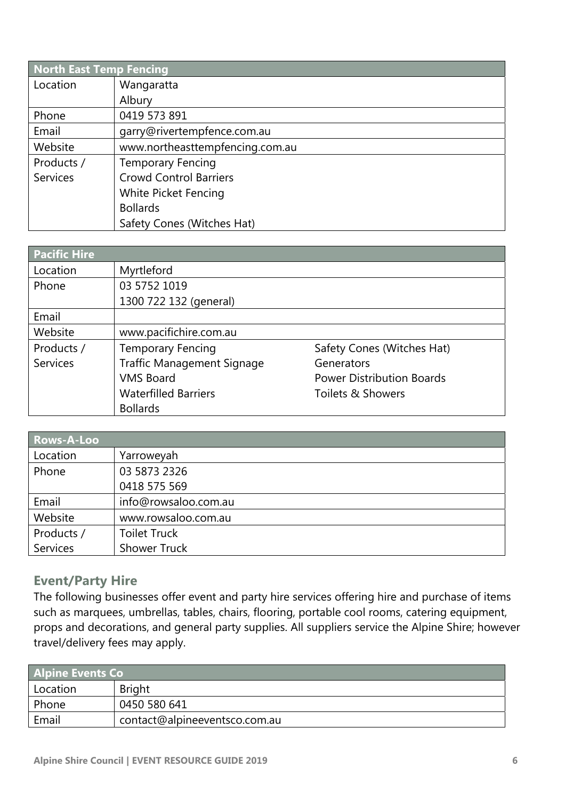| <b>North East Temp Fencing</b> |                                 |
|--------------------------------|---------------------------------|
| Location                       | Wangaratta                      |
|                                | Albury                          |
| Phone                          | 0419 573 891                    |
| Email                          | garry@rivertempfence.com.au     |
| Website                        | www.northeasttempfencing.com.au |
| Products /                     | <b>Temporary Fencing</b>        |
| <b>Services</b>                | <b>Crowd Control Barriers</b>   |
|                                | White Picket Fencing            |
|                                | <b>Bollards</b>                 |
|                                | Safety Cones (Witches Hat)      |

| <b>Pacific Hire</b> |                                   |                                  |
|---------------------|-----------------------------------|----------------------------------|
| Location            | Myrtleford                        |                                  |
| Phone               | 03 5752 1019                      |                                  |
|                     | 1300 722 132 (general)            |                                  |
| Email               |                                   |                                  |
| Website             | www.pacifichire.com.au            |                                  |
| Products /          | <b>Temporary Fencing</b>          | Safety Cones (Witches Hat)       |
| <b>Services</b>     | <b>Traffic Management Signage</b> | Generators                       |
|                     | <b>VMS Board</b>                  | <b>Power Distribution Boards</b> |
|                     | <b>Waterfilled Barriers</b>       | Toilets & Showers                |
|                     | <b>Bollards</b>                   |                                  |

| Rows-A-Loo      |                      |
|-----------------|----------------------|
| Location        | Yarroweyah           |
| Phone           | 03 5873 2326         |
|                 | 0418 575 569         |
| Email           | info@rowsaloo.com.au |
| Website         | www.rowsaloo.com.au  |
| Products /      | <b>Toilet Truck</b>  |
| <b>Services</b> | <b>Shower Truck</b>  |

#### **Event/Party Hire**

The following businesses offer event and party hire services offering hire and purchase of items such as marquees, umbrellas, tables, chairs, flooring, portable cool rooms, catering equipment, props and decorations, and general party supplies. All suppliers service the Alpine Shire; however travel/delivery fees may apply.

| <b>Alpine Events Co</b> |                               |  |
|-------------------------|-------------------------------|--|
| Location                | <b>Bright</b>                 |  |
| Phone                   | 0450 580 641                  |  |
| Email                   | contact@alpineeventsco.com.au |  |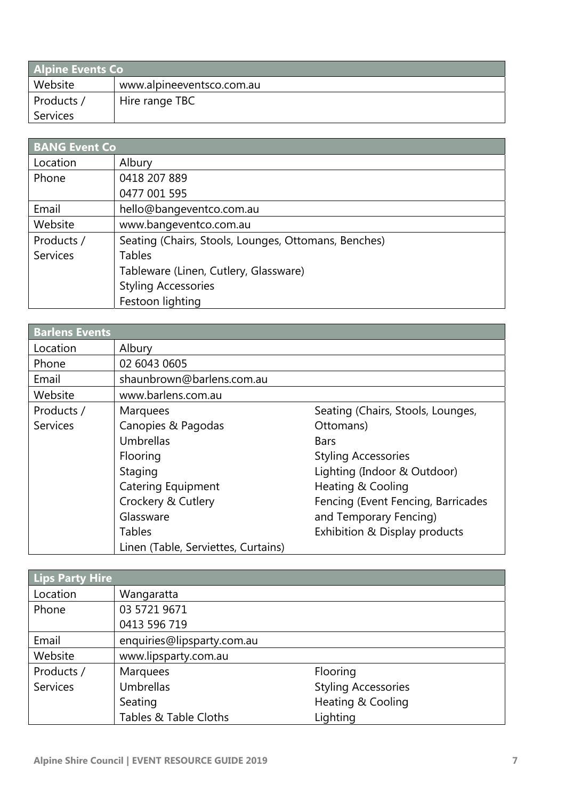| <b>Alpine Events Co</b> |                           |  |
|-------------------------|---------------------------|--|
| Website                 | www.alpineeventsco.com.au |  |
| Products /              | Hire range TBC            |  |
| Services                |                           |  |

| <b>BANG Event Co</b> |                                                      |  |
|----------------------|------------------------------------------------------|--|
| Location             | Albury                                               |  |
| Phone                | 0418 207 889                                         |  |
|                      | 0477 001 595                                         |  |
| Email                | hello@bangeventco.com.au                             |  |
| Website              | www.bangeventco.com.au                               |  |
| Products /           | Seating (Chairs, Stools, Lounges, Ottomans, Benches) |  |
| <b>Services</b>      | <b>Tables</b>                                        |  |
|                      | Tableware (Linen, Cutlery, Glassware)                |  |
|                      | <b>Styling Accessories</b>                           |  |
|                      | Festoon lighting                                     |  |

| <b>Barlens Events</b> |                                     |                                    |
|-----------------------|-------------------------------------|------------------------------------|
| Location              | Albury                              |                                    |
| Phone                 | 02 6043 0605                        |                                    |
| Email                 | shaunbrown@barlens.com.au           |                                    |
| Website               | www.barlens.com.au                  |                                    |
| Products /            | <b>Marquees</b>                     | Seating (Chairs, Stools, Lounges,  |
| <b>Services</b>       | Canopies & Pagodas                  | Ottomans)                          |
|                       | Umbrellas                           | <b>Bars</b>                        |
|                       | Flooring                            | <b>Styling Accessories</b>         |
|                       | Staging                             | Lighting (Indoor & Outdoor)        |
|                       | <b>Catering Equipment</b>           | Heating & Cooling                  |
|                       | Crockery & Cutlery                  | Fencing (Event Fencing, Barricades |
|                       | Glassware                           | and Temporary Fencing)             |
|                       | Tables                              | Exhibition & Display products      |
|                       | Linen (Table, Serviettes, Curtains) |                                    |

| <b>Lips Party Hire</b> |                            |                            |
|------------------------|----------------------------|----------------------------|
| Location               | Wangaratta                 |                            |
| Phone                  | 03 5721 9671               |                            |
|                        | 0413 596 719               |                            |
| Email                  | enquiries@lipsparty.com.au |                            |
| Website                | www.lipsparty.com.au       |                            |
| Products /             | <b>Marquees</b>            | Flooring                   |
| <b>Services</b>        | <b>Umbrellas</b>           | <b>Styling Accessories</b> |
|                        | Seating                    | Heating & Cooling          |
|                        | Tables & Table Cloths      | Lighting                   |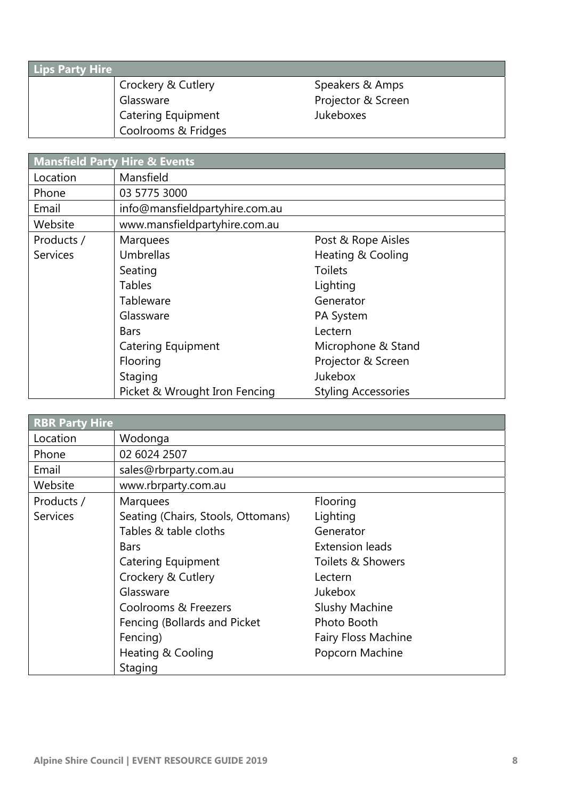| <b>Lips Party Hire</b> |                               |                    |  |
|------------------------|-------------------------------|--------------------|--|
|                        | <b>Crockery &amp; Cutlery</b> | Speakers & Amps    |  |
|                        | Glassware                     | Projector & Screen |  |
|                        | <b>Catering Equipment</b>     | Jukeboxes          |  |
|                        | Coolrooms & Fridges           |                    |  |

|                 | <b>Mansfield Party Hire &amp; Events</b> |                            |
|-----------------|------------------------------------------|----------------------------|
| Location        | Mansfield                                |                            |
| Phone           | 03 5775 3000                             |                            |
| Email           | info@mansfieldpartyhire.com.au           |                            |
| Website         | www.mansfieldpartyhire.com.au            |                            |
| Products /      | Marquees                                 | Post & Rope Aisles         |
| <b>Services</b> | Umbrellas                                | Heating & Cooling          |
|                 | Seating                                  | <b>Toilets</b>             |
|                 | <b>Tables</b>                            | Lighting                   |
|                 | Tableware                                | Generator                  |
|                 | Glassware                                | PA System                  |
|                 | <b>Bars</b>                              | Lectern                    |
|                 | <b>Catering Equipment</b>                | Microphone & Stand         |
|                 | Flooring                                 | Projector & Screen         |
|                 | Staging                                  | <b>Jukebox</b>             |
|                 | Picket & Wrought Iron Fencing            | <b>Styling Accessories</b> |

| <b>RBR Party Hire</b> |                                    |                            |  |
|-----------------------|------------------------------------|----------------------------|--|
| Location              | Wodonga                            |                            |  |
| Phone                 | 02 6024 2507                       |                            |  |
| Email                 | sales@rbrparty.com.au              |                            |  |
| Website               | www.rbrparty.com.au                |                            |  |
| Products /            | Marquees                           | Flooring                   |  |
| <b>Services</b>       | Seating (Chairs, Stools, Ottomans) | Lighting                   |  |
|                       | Tables & table cloths              | Generator                  |  |
|                       | <b>Bars</b>                        | <b>Extension leads</b>     |  |
|                       | <b>Catering Equipment</b>          | Toilets & Showers          |  |
|                       | Crockery & Cutlery                 | Lectern                    |  |
|                       | Glassware                          | Jukebox                    |  |
|                       | Coolrooms & Freezers               | <b>Slushy Machine</b>      |  |
|                       | Fencing (Bollards and Picket       | Photo Booth                |  |
|                       | Fencing)                           | <b>Fairy Floss Machine</b> |  |
|                       | Heating & Cooling                  | Popcorn Machine            |  |
|                       | Staging                            |                            |  |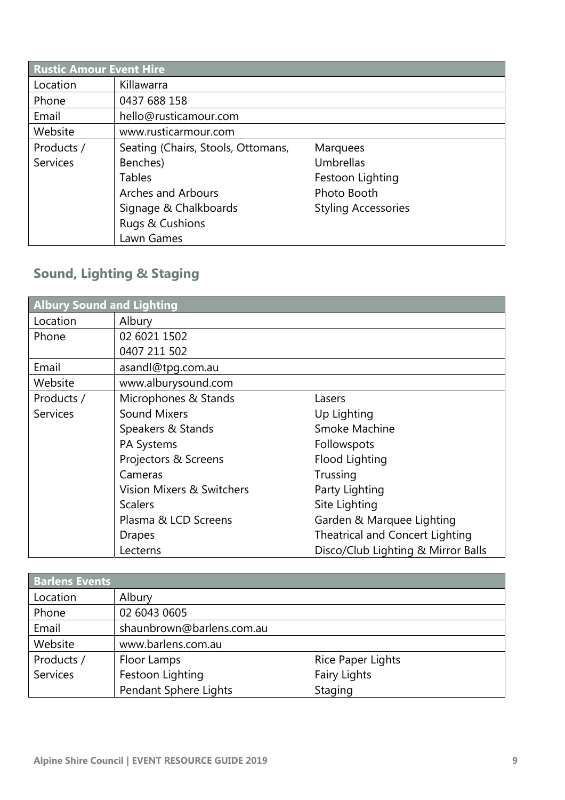| <b>Rustic Amour Event Hire</b> |                                    |                            |  |
|--------------------------------|------------------------------------|----------------------------|--|
| Location                       | Killawarra                         |                            |  |
| Phone                          | 0437 688 158                       |                            |  |
| Email                          | hello@rusticamour.com              |                            |  |
| Website                        | www.rusticarmour.com               |                            |  |
| Products /                     | Seating (Chairs, Stools, Ottomans, | <b>Marquees</b>            |  |
| <b>Services</b>                | Benches)                           | Umbrellas                  |  |
|                                | <b>Tables</b>                      | Festoon Lighting           |  |
|                                | <b>Arches and Arbours</b>          | Photo Booth                |  |
|                                | Signage & Chalkboards              | <b>Styling Accessories</b> |  |
|                                | Rugs & Cushions                    |                            |  |
|                                | Lawn Games                         |                            |  |

### **Sound, Lighting & Staging**

| <b>Albury Sound and Lighting</b> |                           |                                    |  |
|----------------------------------|---------------------------|------------------------------------|--|
| Location                         | Albury                    |                                    |  |
| Phone                            | 02 6021 1502              |                                    |  |
|                                  | 0407 211 502              |                                    |  |
| Email                            | asandl@tpg.com.au         |                                    |  |
| Website                          | www.alburysound.com       |                                    |  |
| Products /                       | Microphones & Stands      | Lasers                             |  |
| <b>Services</b>                  | <b>Sound Mixers</b>       | Up Lighting                        |  |
|                                  | Speakers & Stands         | Smoke Machine                      |  |
|                                  | <b>PA Systems</b>         | Followspots                        |  |
|                                  | Projectors & Screens      | Flood Lighting                     |  |
|                                  | Cameras                   | Trussing                           |  |
|                                  | Vision Mixers & Switchers | Party Lighting                     |  |
|                                  | <b>Scalers</b>            | Site Lighting                      |  |
|                                  | Plasma & LCD Screens      | Garden & Marquee Lighting          |  |
|                                  | <b>Drapes</b>             | Theatrical and Concert Lighting    |  |
|                                  | Lecterns                  | Disco/Club Lighting & Mirror Balls |  |

| <b>Barlens Events</b> |                           |                          |  |
|-----------------------|---------------------------|--------------------------|--|
| Location              | Albury                    |                          |  |
| Phone                 | 02 6043 0605              |                          |  |
| Email                 | shaunbrown@barlens.com.au |                          |  |
| Website               | www.barlens.com.au        |                          |  |
| Products /            | Floor Lamps               | <b>Rice Paper Lights</b> |  |
| <b>Services</b>       | Festoon Lighting          | <b>Fairy Lights</b>      |  |
|                       | Pendant Sphere Lights     | Staging                  |  |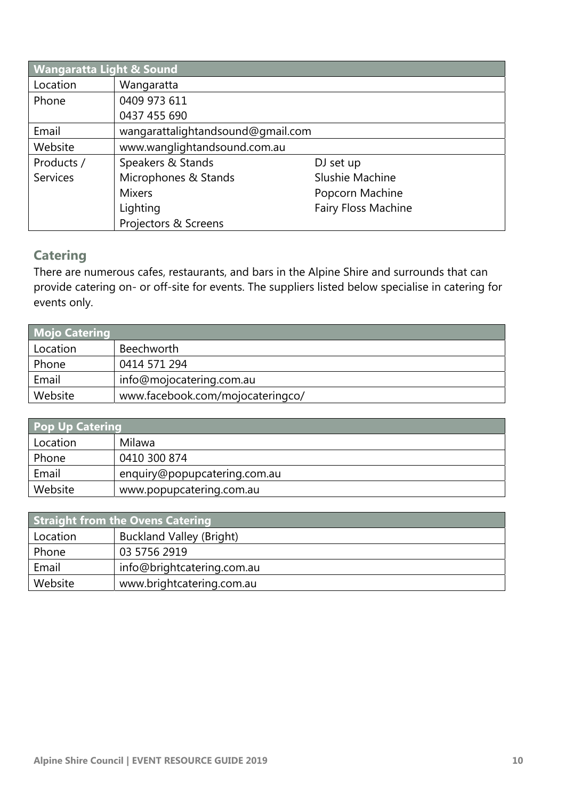| <b>Wangaratta Light &amp; Sound</b> |                                   |                 |  |
|-------------------------------------|-----------------------------------|-----------------|--|
| Location                            | Wangaratta                        |                 |  |
| Phone                               | 0409 973 611                      |                 |  |
|                                     | 0437 455 690                      |                 |  |
| Email                               | wangarattalightandsound@gmail.com |                 |  |
| Website                             | www.wanglightandsound.com.au      |                 |  |
| Products /                          | Speakers & Stands                 | DJ set up       |  |
| <b>Services</b>                     | Microphones & Stands              | Slushie Machine |  |
|                                     | <b>Mixers</b>                     | Popcorn Machine |  |
|                                     | Fairy Floss Machine<br>Lighting   |                 |  |
|                                     | Projectors & Screens              |                 |  |

#### **Catering**

There are numerous cafes, restaurants, and bars in the Alpine Shire and surrounds that can provide catering on- or off-site for events. The suppliers listed below specialise in catering for events only.

| <b>Mojo Catering</b> |                                  |
|----------------------|----------------------------------|
| Location             | Beechworth                       |
| Phone                | 0414 571 294                     |
| Email                | info@mojocatering.com.au         |
| Website              | www.facebook.com/mojocateringco/ |

| <b>Pop Up Catering</b> |                              |  |
|------------------------|------------------------------|--|
| Location               | Milawa                       |  |
| Phone                  | 0410 300 874                 |  |
| Email                  | enquiry@popupcatering.com.au |  |
| Website                | www.popupcatering.com.au     |  |

| <b>Straight from the Ovens Catering</b> |                                 |  |
|-----------------------------------------|---------------------------------|--|
| Location                                | <b>Buckland Valley (Bright)</b> |  |
| Phone                                   | 03 5756 2919                    |  |
| Email                                   | info@brightcatering.com.au      |  |
| Website                                 | www.brightcatering.com.au       |  |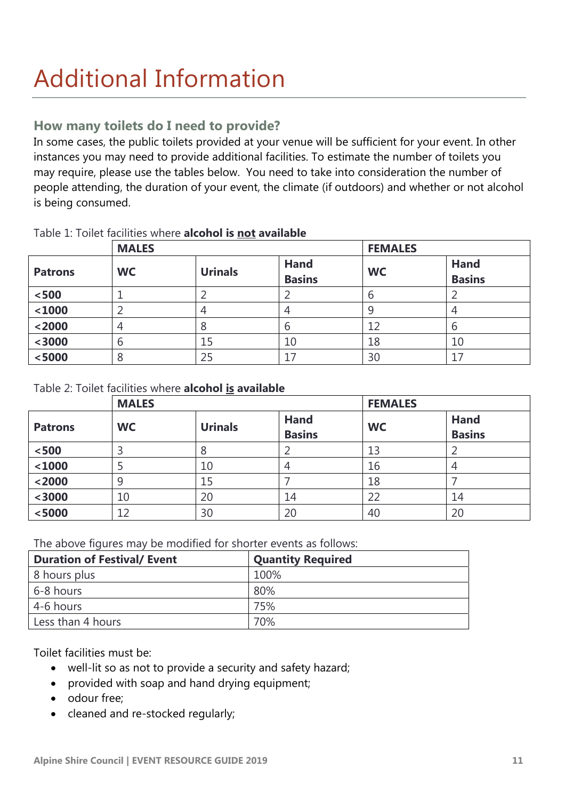## Additional Information

#### **How many toilets do I need to provide?**

In some cases, the public toilets provided at your venue will be sufficient for your event. In other instances you may need to provide additional facilities. To estimate the number of toilets you may require, please use the tables below. You need to take into consideration the number of people attending, the duration of your event, the climate (if outdoors) and whether or not alcohol is being consumed.

|                | <b>MALES</b> |                |                              | <b>FEMALES</b> |                              |
|----------------|--------------|----------------|------------------------------|----------------|------------------------------|
| <b>Patrons</b> | <b>WC</b>    | <b>Urinals</b> | <b>Hand</b><br><b>Basins</b> | <b>WC</b>      | <b>Hand</b><br><b>Basins</b> |
| $<$ 500 $\,$   |              |                |                              |                |                              |
| $1000$         |              |                | 4                            |                | 4                            |
| $2000$         | 4            |                | ხ                            | 12             | b                            |
| $3000$         | b            | 15             | 10                           | 18             | 10                           |
| < 5000         | 8            | 25             | 17                           | 30             | 17                           |

#### Table 1: Toilet facilities where **alcohol is not available**

#### Table 2: Toilet facilities where **alcohol is available**

|                | <b>MALES</b> |                |                              | <b>FEMALES</b> |                              |
|----------------|--------------|----------------|------------------------------|----------------|------------------------------|
| <b>Patrons</b> | <b>WC</b>    | <b>Urinals</b> | <b>Hand</b><br><b>Basins</b> | <b>WC</b>      | <b>Hand</b><br><b>Basins</b> |
| $<$ 500        |              | 8              |                              | 13             |                              |
| $1000$         |              | 10             | 4                            | 16             | 4                            |
| $2000$         | 9            | 15             |                              | 18             |                              |
| $3000$         | 10           | 20             | 14                           | 22             | 14                           |
| < 5000         | 12           | 30             | 20                           | 40             | 20                           |

The above figures may be modified for shorter events as follows:

| <b>Duration of Festival/ Event</b> | <b>Quantity Required</b> |
|------------------------------------|--------------------------|
| 8 hours plus                       | 100%                     |
| 6-8 hours                          | 80%                      |
| 4-6 hours                          | 75%                      |
| Less than 4 hours                  | 70%                      |

Toilet facilities must be:

- well-lit so as not to provide a security and safety hazard;
- provided with soap and hand drying equipment;
- odour free:
- cleaned and re-stocked regularly;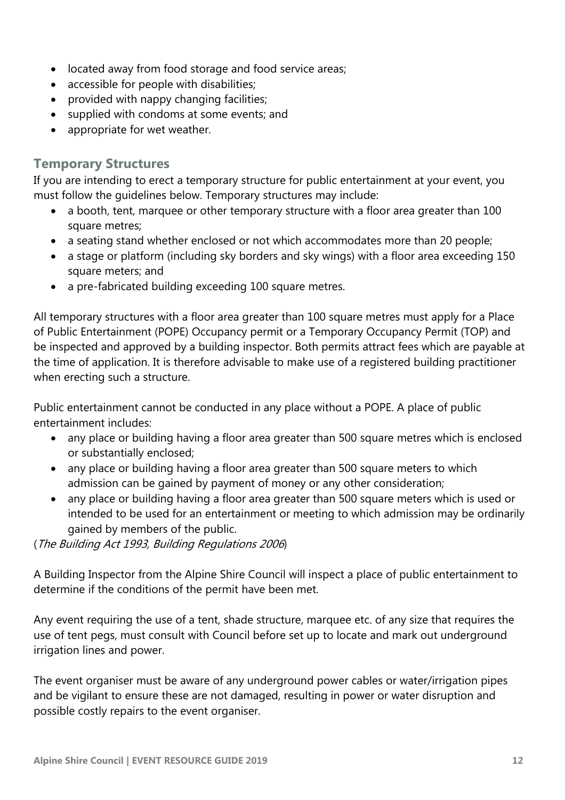- located away from food storage and food service areas;
- accessible for people with disabilities;
- provided with nappy changing facilities;
- supplied with condoms at some events; and
- appropriate for wet weather.

#### **Temporary Structures**

If you are intending to erect a temporary structure for public entertainment at your event, you must follow the guidelines below. Temporary structures may include:

- a booth, tent, marquee or other temporary structure with a floor area greater than 100 square metres;
- a seating stand whether enclosed or not which accommodates more than 20 people;
- a stage or platform (including sky borders and sky wings) with a floor area exceeding 150 square meters; and
- a pre-fabricated building exceeding 100 square metres.

All temporary structures with a floor area greater than 100 square metres must apply for a Place of Public Entertainment (POPE) Occupancy permit or a Temporary Occupancy Permit (TOP) and be inspected and approved by a building inspector. Both permits attract fees which are payable at the time of application. It is therefore advisable to make use of a registered building practitioner when erecting such a structure.

Public entertainment cannot be conducted in any place without a POPE. A place of public entertainment includes:

- any place or building having a floor area greater than 500 square metres which is enclosed or substantially enclosed;
- any place or building having a floor area greater than 500 square meters to which admission can be gained by payment of money or any other consideration;
- any place or building having a floor area greater than 500 square meters which is used or intended to be used for an entertainment or meeting to which admission may be ordinarily gained by members of the public.

(The Building Act 1993, Building Regulations 2006)

A Building Inspector from the Alpine Shire Council will inspect a place of public entertainment to determine if the conditions of the permit have been met.

Any event requiring the use of a tent, shade structure, marquee etc. of any size that requires the use of tent pegs, must consult with Council before set up to locate and mark out underground irrigation lines and power.

The event organiser must be aware of any underground power cables or water/irrigation pipes and be vigilant to ensure these are not damaged, resulting in power or water disruption and possible costly repairs to the event organiser.